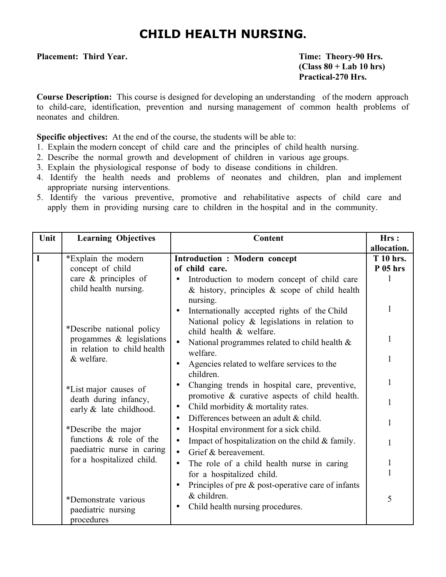# **CHILD HEALTH NURSING.**

Placement: Third Year. Theory-90 Hrs.

**(Class 80 + Lab 10 hrs) Practical-270 Hrs.**

**Course Description:** This course is designed for developing an understanding of the modern approach to child-care, identification, prevention and nursing management of common health problems of neonates and children.

**Specific objectives:** At the end of the course, the students will be able to:

- 1. Explain the modern concept of child care and the principles of child health nursing.
- 2. Describe the normal growth and development of children in various age groups.
- 3. Explain the physiological response of body to disease conditions in children.
- 4. Identify the health needs and problems of neonates and children, plan and implement appropriate nursing interventions.
- 5. Identify the various preventive, promotive and rehabilitative aspects of child care and apply them in providing nursing care to children in the hospital and in the community.

| Unit        | <b>Learning Objectives</b>                                                                                                                                                                                                                                                                                                                                                                  | Content                                                                                                                                                                                                                                                                                                                                                                                                                                                                                                                                                                                                                                                                                                                                                                                                                                                                                                                                                                                                           | Hrs:                                                                                                        |
|-------------|---------------------------------------------------------------------------------------------------------------------------------------------------------------------------------------------------------------------------------------------------------------------------------------------------------------------------------------------------------------------------------------------|-------------------------------------------------------------------------------------------------------------------------------------------------------------------------------------------------------------------------------------------------------------------------------------------------------------------------------------------------------------------------------------------------------------------------------------------------------------------------------------------------------------------------------------------------------------------------------------------------------------------------------------------------------------------------------------------------------------------------------------------------------------------------------------------------------------------------------------------------------------------------------------------------------------------------------------------------------------------------------------------------------------------|-------------------------------------------------------------------------------------------------------------|
| $\mathbf I$ | *Explain the modern<br>concept of child<br>care & principles of<br>child health nursing.<br>*Describe national policy<br>progammes $\&$ legislations<br>in relation to child health<br>& welfare.<br>*List major causes of<br>death during infancy,<br>early & late childhood.<br>*Describe the major<br>functions & role of the<br>paediatric nurse in caring<br>for a hospitalized child. | <b>Introduction : Modern concept</b><br>of child care.<br>Introduction to modern concept of child care<br>$\bullet$<br>$\&$ history, principles $\&$ scope of child health<br>nursing.<br>Internationally accepted rights of the Child<br>National policy $\&$ legislations in relation to<br>child health & welfare.<br>National programmes related to child health $\&$<br>$\bullet$<br>welfare.<br>Agencies related to welfare services to the<br>$\bullet$<br>children.<br>Changing trends in hospital care, preventive,<br>٠<br>promotive & curative aspects of child health.<br>Child morbidity & mortality rates.<br>$\bullet$<br>Differences between an adult & child.<br>$\bullet$<br>Hospital environment for a sick child.<br>٠<br>Impact of hospitalization on the child $\&$ family.<br>$\bullet$<br>Grief & bereavement.<br>$\bullet$<br>The role of a child health nurse in caring<br>$\bullet$<br>for a hospitalized child.<br>Principles of pre $\&$ post-operative care of infants<br>$\bullet$ | allocation.<br><b>T</b> 10 hrs.<br>$P$ 05 hrs<br>$\mathbf{1}$<br>1<br>1<br>1<br>1<br>1<br>1<br>$\mathbf{1}$ |
|             | *Demonstrate various<br>paediatric nursing<br>procedures                                                                                                                                                                                                                                                                                                                                    | & children.<br>Child health nursing procedures.<br>$\bullet$                                                                                                                                                                                                                                                                                                                                                                                                                                                                                                                                                                                                                                                                                                                                                                                                                                                                                                                                                      | 5                                                                                                           |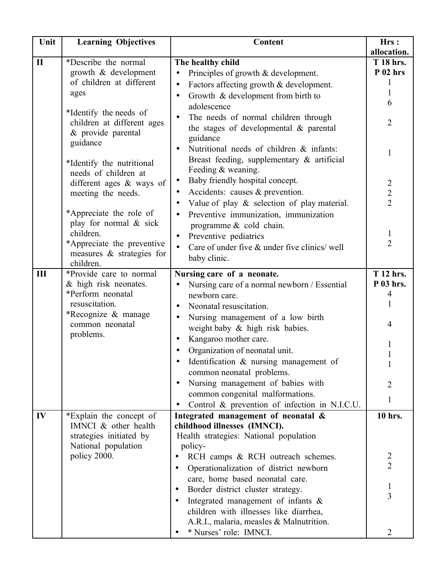| Unit         | <b>Learning Objectives</b>                       | Content                                                     | Hrs:                |
|--------------|--------------------------------------------------|-------------------------------------------------------------|---------------------|
|              |                                                  |                                                             | allocation.         |
| $\mathbf{I}$ | *Describe the normal                             | The healthy child                                           | <b>T</b> 18 hrs.    |
|              | growth & development                             | Principles of growth & development.<br>$\bullet$            | $P$ 02 hrs          |
|              | of children at different                         | Factors affecting growth & development.<br>$\bullet$        |                     |
|              | ages                                             | Growth & development from birth to<br>$\bullet$             | 1                   |
|              |                                                  | adolescence                                                 | 6                   |
|              | *Identify the needs of                           | The needs of normal children through<br>$\bullet$           |                     |
|              | children at different ages<br>& provide parental | the stages of developmental $\&$ parental                   | $\overline{2}$      |
|              | guidance                                         | guidance                                                    |                     |
|              |                                                  | Nutritional needs of children & infants:<br>$\bullet$       | 1                   |
|              | *Identify the nutritional                        | Breast feeding, supplementary & artificial                  |                     |
|              | needs of children at                             | Feeding & weaning.                                          |                     |
|              | different ages & ways of                         | Baby friendly hospital concept.<br>$\bullet$                | $\overline{2}$      |
|              | meeting the needs.                               | Accidents: causes & prevention.                             | $\frac{2}{2}$       |
|              |                                                  | Value of play $\&$ selection of play material.<br>$\bullet$ |                     |
|              | *Appreciate the role of                          | Preventive immunization, immunization<br>$\bullet$          |                     |
|              | play for normal & sick                           | programme & cold chain.                                     |                     |
|              | children.                                        | Preventive pediatrics<br>$\bullet$                          | $\mathbf{I}$        |
|              | *Appreciate the preventive                       | Care of under five & under five clinics/ well<br>$\bullet$  | $\overline{2}$      |
|              | measures $\&$ strategies for<br>children.        | baby clinic.                                                |                     |
| Ш            | *Provide care to normal                          | Nursing care of a neonate.                                  | <b>T</b> 12 hrs.    |
|              | & high risk neonates.                            | Nursing care of a normal newborn / Essential                | P 03 hrs.           |
|              | *Perform neonatal                                | newborn care.                                               | 4                   |
|              | resuscitation.                                   | Neonatal resuscitation.<br>$\bullet$                        |                     |
|              | *Recognize & manage                              | Nursing management of a low birth<br>$\bullet$              |                     |
|              | common neonatal                                  | weight baby & high risk babies.                             | 4                   |
|              | problems.                                        | Kangaroo mother care.<br>$\bullet$                          |                     |
|              |                                                  | Organization of neonatal unit.                              | 1                   |
|              |                                                  | Identification & nursing management of                      |                     |
|              |                                                  | common neonatal problems.                                   |                     |
|              |                                                  | Nursing management of babies with<br>$\bullet$              | 2                   |
|              |                                                  | common congenital malformations.                            |                     |
|              |                                                  | Control & prevention of infection in N.I.C.U.<br>$\bullet$  | 1                   |
| IV           | *Explain the concept of                          | Integrated management of neonatal &                         | 10 hrs.             |
|              | IMNCI & other health                             | childhood illnesses (IMNCI).                                |                     |
|              | strategies initiated by                          | Health strategies: National population                      |                     |
|              | National population                              | policy-                                                     |                     |
|              | policy 2000.                                     | RCH camps & RCH outreach schemes.<br>$\bullet$              | $\frac{2}{2}$       |
|              |                                                  | Operationalization of district newborn<br>٠                 |                     |
|              |                                                  | care, home based neonatal care.                             |                     |
|              |                                                  | Border district cluster strategy.<br>٠                      | 1<br>$\overline{3}$ |
|              |                                                  | Integrated management of infants $\&$<br>$\bullet$          |                     |
|              |                                                  | children with illnesses like diarrhea,                      |                     |
|              |                                                  | A.R.I., malaria, measles & Malnutrition.                    |                     |
|              |                                                  | * Nurses' role: IMNCI.                                      | 2                   |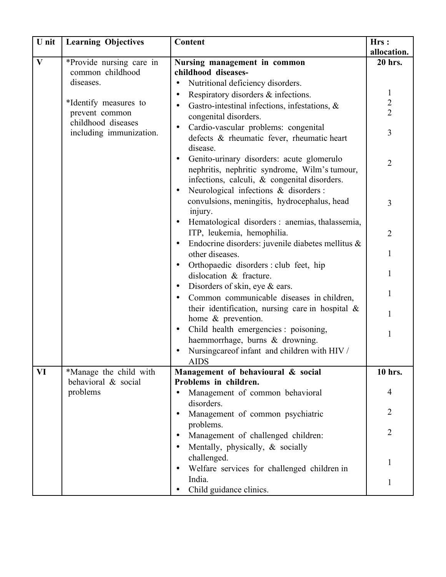| U nit        | <b>Learning Objectives</b>           | Content                                                                           | Hrs:           |
|--------------|--------------------------------------|-----------------------------------------------------------------------------------|----------------|
|              |                                      |                                                                                   | allocation.    |
| $\mathbf{V}$ | *Provide nursing care in             | Nursing management in common                                                      | 20 hrs.        |
|              | common childhood                     | childhood diseases-                                                               |                |
|              | diseases.                            | Nutritional deficiency disorders.<br>$\bullet$                                    |                |
|              |                                      | Respiratory disorders & infections.<br>$\bullet$                                  | $\mathbf{1}$   |
|              | *Identify measures to                | Gastro-intestinal infections, infestations, $\&$<br>$\bullet$                     | $\frac{2}{2}$  |
|              | prevent common<br>childhood diseases | congenital disorders.                                                             |                |
|              | including immunization.              | Cardio-vascular problems: congenital<br>$\bullet$                                 | 3              |
|              |                                      | defects & rheumatic fever, rheumatic heart                                        |                |
|              |                                      | disease.                                                                          |                |
|              |                                      | Genito-urinary disorders: acute glomerulo<br>$\bullet$                            | $\overline{2}$ |
|              |                                      | nephritis, nephritic syndrome, Wilm's tumour,                                     |                |
|              |                                      | infections, calculi, & congenital disorders.                                      |                |
|              |                                      | Neurological infections & disorders :<br>$\bullet$                                |                |
|              |                                      | convulsions, meningitis, hydrocephalus, head                                      | 3              |
|              |                                      | injury.                                                                           |                |
|              |                                      | Hematological disorders : anemias, thalassemia,                                   |                |
|              |                                      | ITP, leukemia, hemophilia.                                                        | $\overline{2}$ |
|              |                                      | Endocrine disorders: juvenile diabetes mellitus &<br>$\bullet$<br>other diseases. | $\mathbf{1}$   |
|              |                                      | Orthopaedic disorders : club feet, hip<br>$\bullet$                               |                |
|              |                                      | dislocation & fracture.                                                           | 1              |
|              |                                      | Disorders of skin, eye & ears.<br>$\bullet$                                       |                |
|              |                                      | Common communicable diseases in children,                                         | 1              |
|              |                                      | their identification, nursing care in hospital $\&$                               |                |
|              |                                      | home & prevention.                                                                | 1              |
|              |                                      | Child health emergencies : poisoning,<br>$\bullet$                                |                |
|              |                                      | haemmorrhage, burns & drowning.                                                   | 1              |
|              |                                      | Nursingcareof infant and children with HIV /                                      |                |
|              |                                      | <b>AIDS</b>                                                                       |                |
| VI           | *Manage the child with               | Management of behavioural & social                                                | 10 hrs.        |
|              | behavioral & social                  | Problems in children.                                                             |                |
|              | problems                             | Management of common behavioral                                                   | 4              |
|              |                                      | disorders.                                                                        |                |
|              |                                      | Management of common psychiatric<br>$\bullet$                                     | 2              |
|              |                                      | problems.                                                                         | $\overline{2}$ |
|              |                                      | Management of challenged children:<br>$\bullet$                                   |                |
|              |                                      | Mentally, physically, & socially                                                  |                |
|              |                                      | challenged.                                                                       | 1              |
|              |                                      | Welfare services for challenged children in<br>$\bullet$                          |                |
|              |                                      | India.                                                                            |                |
|              |                                      | Child guidance clinics.                                                           |                |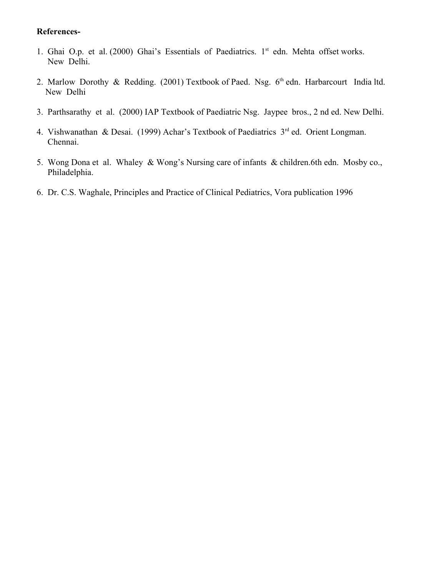#### **References-**

- 1. Ghai O.p. et al.  $(2000)$  Ghai's Essentials of Paediatrics. 1<sup>st</sup> edn. Mehta offset works. New Delhi.
- 2. Marlow Dorothy & Redding. (2001) Textbook of Paed. Nsg.  $6<sup>th</sup>$  edn. Harbarcourt India ltd. New Delhi
- 3. Parthsarathy et al. (2000) IAP Textbook of Paediatric Nsg. Jaypee bros., 2 nd ed. New Delhi.
- 4. Vishwanathan & Desai. (1999) Achar's Textbook of Paediatrics  $3<sup>rd</sup>$  ed. Orient Longman. Chennai.
- 5. Wong Dona et al. Whaley & Wong's Nursing care of infants & children.6th edn. Mosby co., Philadelphia.
- 6. Dr. C.S. Waghale, Principles and Practice of Clinical Pediatrics, Vora publication 1996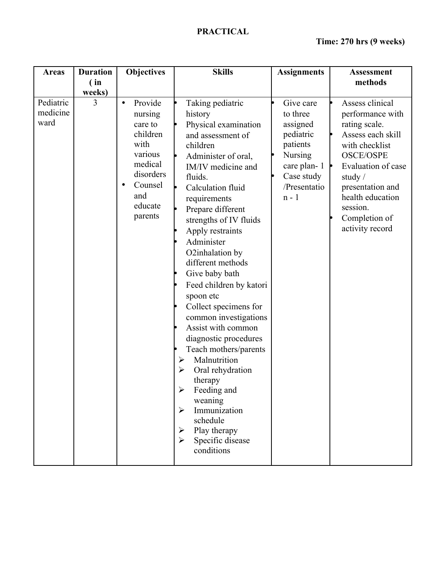| <b>Areas</b>                  | <b>Duration</b><br>(in) | <b>Objectives</b>                                                                                                                                      | <b>Skills</b>                                                                                                                                                                                                                                                                                                                                                                                                                                                                                                                                                                                                                                                                                      | <b>Assignments</b>                                                                                                                   | <b>Assessment</b><br>methods                                                                                                                                                                                                               |
|-------------------------------|-------------------------|--------------------------------------------------------------------------------------------------------------------------------------------------------|----------------------------------------------------------------------------------------------------------------------------------------------------------------------------------------------------------------------------------------------------------------------------------------------------------------------------------------------------------------------------------------------------------------------------------------------------------------------------------------------------------------------------------------------------------------------------------------------------------------------------------------------------------------------------------------------------|--------------------------------------------------------------------------------------------------------------------------------------|--------------------------------------------------------------------------------------------------------------------------------------------------------------------------------------------------------------------------------------------|
|                               | weeks)                  |                                                                                                                                                        |                                                                                                                                                                                                                                                                                                                                                                                                                                                                                                                                                                                                                                                                                                    |                                                                                                                                      |                                                                                                                                                                                                                                            |
| Pediatric<br>medicine<br>ward | 3                       | Provide<br>$\bullet$<br>nursing<br>care to<br>children<br>with<br>various<br>medical<br>disorders<br>Counsel<br>$\bullet$<br>and<br>educate<br>parents | Taking pediatric<br>history<br>Physical examination<br>and assessment of<br>children<br>Administer of oral,<br>IM/IV medicine and<br>fluids.<br>Calculation fluid<br>requirements<br>Prepare different<br>strengths of IV fluids<br>Apply restraints<br>Administer<br>O2inhalation by<br>different methods<br>Give baby bath<br>Feed children by katori<br>spoon etc<br>Collect specimens for<br>common investigations<br>Assist with common<br>diagnostic procedures<br>Teach mothers/parents<br>Malnutrition<br>➤<br>Oral rehydration<br>$\blacktriangleright$<br>therapy<br>Feeding and<br>➤<br>weaning<br>Immunization<br>➤<br>schedule<br>Play therapy<br>➤<br>Specific disease<br>conditions | Give care<br>to three<br>assigned<br>pediatric<br>patients<br><b>Nursing</b><br>care plan-1<br>Case study<br>/Presentatio<br>$n - 1$ | Assess clinical<br>performance with<br>rating scale.<br>Assess each skill<br>with checklist<br><b>OSCE/OSPE</b><br>Evaluation of case<br>study $/$<br>presentation and<br>health education<br>session.<br>Completion of<br>activity record |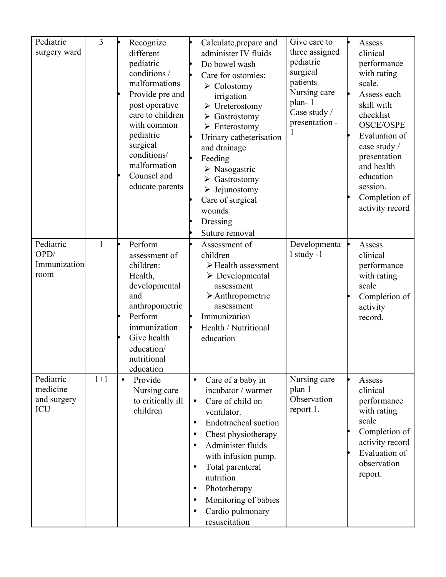| Pediatric<br>surgery ward                   | $\overline{3}$ | Recognize<br>different                                                                                                                                                         | Calculate, prepare and<br>administer IV fluids                                                                                                                                                                                                                                                                                                                                                           | Give care to<br>three assigned                     | Assess<br>clinical                                                                                                                                                      |
|---------------------------------------------|----------------|--------------------------------------------------------------------------------------------------------------------------------------------------------------------------------|----------------------------------------------------------------------------------------------------------------------------------------------------------------------------------------------------------------------------------------------------------------------------------------------------------------------------------------------------------------------------------------------------------|----------------------------------------------------|-------------------------------------------------------------------------------------------------------------------------------------------------------------------------|
|                                             |                | pediatric<br>conditions /<br>malformations<br>Provide pre and                                                                                                                  | Do bowel wash<br>Care for ostomies:<br>$\triangleright$ Colostomy<br>irrigation                                                                                                                                                                                                                                                                                                                          | pediatric<br>surgical<br>patients<br>Nursing care  | performance<br>with rating<br>scale.<br>Assess each                                                                                                                     |
|                                             |                | post operative<br>care to children<br>with common<br>pediatric<br>surgical<br>conditions/<br>malformation<br>Counsel and<br>educate parents                                    | $\triangleright$ Ureterostomy<br>$\triangleright$ Gastrostomy<br>$\triangleright$ Enterostomy<br>Urinary catheterisation<br>and drainage<br>Feeding<br>$\triangleright$ Nasogastric<br>$\triangleright$ Gastrostomy<br>$\triangleright$ Jejunostomy<br>Care of surgical<br>wounds<br>Dressing<br>Suture removal                                                                                          | plan-1<br>Case study /<br>presentation -           | skill with<br>checklist<br><b>OSCE/OSPE</b><br>Evaluation of<br>case study /<br>presentation<br>and health<br>education<br>session.<br>Completion of<br>activity record |
| Pediatric<br>OPD/<br>Immunization<br>room   | $\mathbf{1}$   | Perform<br>assessment of<br>children:<br>Health,<br>developmental<br>and<br>anthropometric<br>Perform<br>immunization<br>Give health<br>education/<br>nutritional<br>education | Assessment of<br>children<br>$\triangleright$ Health assessment<br>$\triangleright$ Developmental<br>assessment<br>$\triangleright$ Anthropometric<br>assessment<br>Immunization<br>Health / Nutritional<br>education                                                                                                                                                                                    | Developmenta<br>$1$ study -1                       | Assess<br>clinical<br>performance<br>with rating<br>scale<br>Completion of<br>activity<br>record.                                                                       |
| Pediatric<br>medicine<br>and surgery<br>ICU | $1+1$          | Provide<br>$\bullet$<br>Nursing care<br>to critically ill<br>children                                                                                                          | Care of a baby in<br>$\bullet$<br>incubator / warmer<br>Care of child on<br>$\bullet$<br>ventilator.<br>Endotracheal suction<br>$\bullet$<br>Chest physiotherapy<br>$\bullet$<br>Administer fluids<br>$\bullet$<br>with infusion pump.<br>Total parenteral<br>$\bullet$<br>nutrition<br>Phototherapy<br>$\bullet$<br>Monitoring of babies<br>$\bullet$<br>Cardio pulmonary<br>$\bullet$<br>resuscitation | Nursing care<br>plan 1<br>Observation<br>report 1. | Assess<br>clinical<br>performance<br>with rating<br>scale<br>Completion of<br>activity record<br>Evaluation of<br>observation<br>report.                                |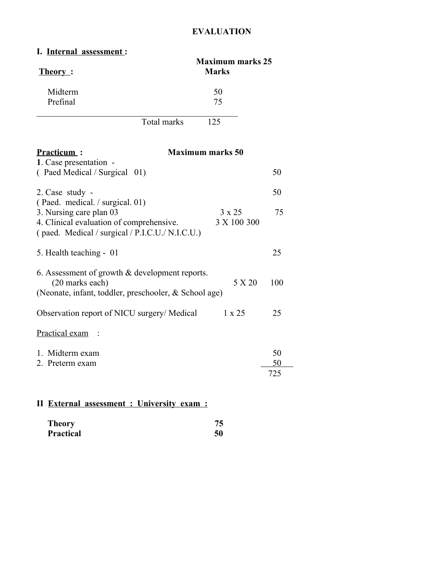## **EVALUATION**

#### **I. Internal assessment :**

| <u>Theory</u> :                                                                                                              | <b>Maximum marks 25</b><br><b>Marks</b> |          |
|------------------------------------------------------------------------------------------------------------------------------|-----------------------------------------|----------|
| Midterm<br>Prefinal                                                                                                          | 50<br>75                                |          |
| <b>Total marks</b>                                                                                                           | 125                                     |          |
| <b>Practicum:</b><br>1. Case presentation -                                                                                  | <b>Maximum marks 50</b>                 |          |
| (Paed Medical / Surgical 01)                                                                                                 |                                         | 50       |
| 2. Case study -<br>(Paed. medical. / surgical. 01)                                                                           |                                         | 50       |
| 3. Nursing care plan 03<br>4. Clinical evaluation of comprehensive.<br>(paed. Medical / surgical / P.I.C.U./ N.I.C.U.)       | 3 x 25<br>3 X 100 300                   | 75       |
| 5. Health teaching - 01                                                                                                      |                                         | 25       |
| 6. Assessment of growth $&$ development reports.<br>(20 marks each)<br>(Neonate, infant, toddler, preschooler, & School age) | 5 X 20                                  | 100      |
| Observation report of NICU surgery/ Medical                                                                                  | $1 \times 25$                           | 25       |
| Practical exam                                                                                                               |                                         |          |
| 1. Midterm exam<br>2. Preterm exam                                                                                           |                                         | 50<br>50 |
|                                                                                                                              |                                         | 725      |
|                                                                                                                              |                                         |          |

## **II External assessment : University exam :**

| <b>Theory</b>    | 75 |
|------------------|----|
| <b>Practical</b> | 50 |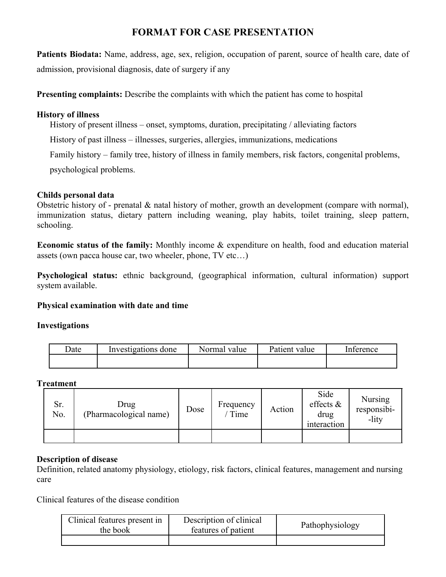## **FORMAT FOR CASE PRESENTATION**

**Patients Biodata:** Name, address, age, sex, religion, occupation of parent, source of health care, date of admission, provisional diagnosis, date of surgery if any

**Presenting complaints:** Describe the complaints with which the patient has come to hospital

#### **History of illness**

History of present illness – onset, symptoms, duration, precipitating / alleviating factors

History of past illness – illnesses, surgeries, allergies, immunizations, medications

Family history – family tree, history of illness in family members, risk factors, congenital problems,

psychological problems.

#### **Childs personal data**

Obstetric history of - prenatal & natal history of mother, growth an development (compare with normal), immunization status, dietary pattern including weaning, play habits, toilet training, sleep pattern, schooling.

**Economic status of the family:** Monthly income & expenditure on health, food and education material assets (own pacca house car, two wheeler, phone, TV etc…)

**Psychological status:** ethnic background, (geographical information, cultural information) support system available.

#### **Physical examination with date and time**

#### **Investigations**

| Date | Investigations done | Normal<br>value | Patient<br>value | Inference |
|------|---------------------|-----------------|------------------|-----------|
|      |                     |                 |                  |           |

**Treatment**

| Sr.<br>No. | Drug<br>(Pharmacological name) | Dose | Frequency<br>Time | Action | Side<br>effects $\&$<br>drug<br>interaction | <b>Nursing</b><br>responsibi-<br>-lity |
|------------|--------------------------------|------|-------------------|--------|---------------------------------------------|----------------------------------------|
|            |                                |      |                   |        |                                             |                                        |

#### **Description of disease**

Definition, related anatomy physiology, etiology, risk factors, clinical features, management and nursing care

Clinical features of the disease condition

| Clinical features present in<br>the book | Description of clinical<br>features of patient | Pathophysiology |
|------------------------------------------|------------------------------------------------|-----------------|
|                                          |                                                |                 |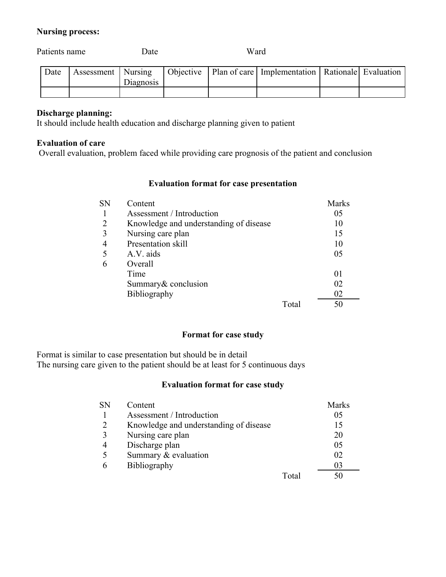#### **Nursing process:**

| Patients name |  | Date                 | Ward      |  |  |                                                                    |  |
|---------------|--|----------------------|-----------|--|--|--------------------------------------------------------------------|--|
| Date          |  | Assessment   Nursing | Diagnosis |  |  | Objective   Plan of care   Implementation   Rationale   Evaluation |  |
|               |  |                      |           |  |  |                                                                    |  |

### **Discharge planning:**

It should include health education and discharge planning given to patient

#### **Evaluation of care**

Overall evaluation, problem faced while providing care prognosis of the patient and conclusion

#### **Evaluation format for case presentation**

| SN | Content                                |       | <b>Marks</b> |
|----|----------------------------------------|-------|--------------|
|    | Assessment / Introduction              |       | 05           |
|    | Knowledge and understanding of disease |       | 10           |
| 3  | Nursing care plan                      |       | 15           |
|    | Presentation skill                     |       | 10           |
|    | A.V. aids                              |       | 05           |
| 6  | Overall                                |       |              |
|    | Time                                   |       | 01           |
|    | Summary & conclusion                   |       | 02           |
|    | <b>Bibliography</b>                    |       | 02           |
|    |                                        | Total | 50           |

#### **Format for case study**

Format is similar to case presentation but should be in detail The nursing care given to the patient should be at least for 5 continuous days

#### **Evaluation format for case study**

| <b>SN</b> | Content                                |       | <b>Marks</b> |
|-----------|----------------------------------------|-------|--------------|
|           | Assessment / Introduction              |       | 05           |
| 2         | Knowledge and understanding of disease |       | 15           |
| 3         | Nursing care plan                      |       | 20           |
|           | Discharge plan                         |       | 05           |
|           | Summary & evaluation                   |       | 02           |
|           | Bibliography                           |       | 03           |
|           |                                        | Total |              |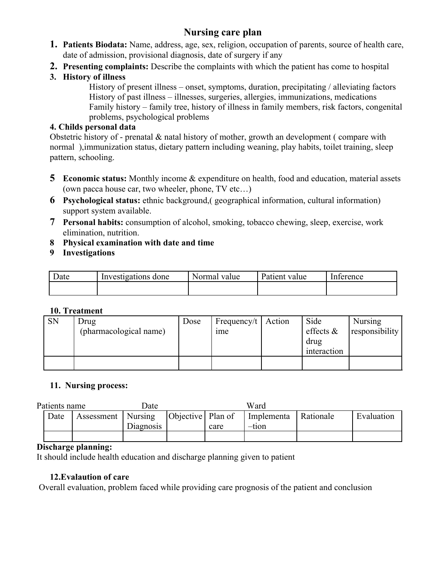## **Nursing care plan**

- **1. Patients Biodata:** Name, address, age, sex, religion, occupation of parents, source of health care, date of admission, provisional diagnosis, date of surgery if any
- **2. Presenting complaints:** Describe the complaints with which the patient has come to hospital
- **3. History of illness**

History of present illness – onset, symptoms, duration, precipitating / alleviating factors History of past illness – illnesses, surgeries, allergies, immunizations, medications Family history – family tree, history of illness in family members, risk factors, congenital problems, psychological problems

## **4. Childs personal data**

Obstetric history of - prenatal & natal history of mother, growth an development ( compare with normal ),immunization status, dietary pattern including weaning, play habits, toilet training, sleep pattern, schooling.

- **5 Economic status:** Monthly income & expenditure on health, food and education, material assets (own pacca house car, two wheeler, phone, TV etc…)
- **6 Psychological status:** ethnic background,( geographical information, cultural information) support system available.
- **7 Personal habits:** consumption of alcohol, smoking, tobacco chewing, sleep, exercise, work elimination, nutrition.
- **8 Physical examination with date and time**
- **9 Investigations**

| Date | Investigations done | Normal value | Patient<br>value | Interence |
|------|---------------------|--------------|------------------|-----------|
|      |                     |              |                  |           |

## **10. Treatment**

| <b>SN</b> | Drug<br>(pharmacological name) | Dose | Frequency/t   Action<br><sub>1</sub> me | Side<br>effects $\&$<br>drug<br>interaction | Nursing<br>  responsibility |
|-----------|--------------------------------|------|-----------------------------------------|---------------------------------------------|-----------------------------|
|           |                                |      |                                         |                                             |                             |

## **11. Nursing process:**

| Patients name |                      | Date      |                                   |      | Ward       |           |            |
|---------------|----------------------|-----------|-----------------------------------|------|------------|-----------|------------|
| Date          | Assessment   Nursing |           | $\vert$ Objective $\vert$ Plan of |      | Implementa | Rationale | Evaluation |
|               |                      | Diagnosis |                                   | care | -tion      |           |            |
|               |                      |           |                                   |      |            |           |            |

## **Discharge planning:**

It should include health education and discharge planning given to patient

## **12.Evalaution of care**

Overall evaluation, problem faced while providing care prognosis of the patient and conclusion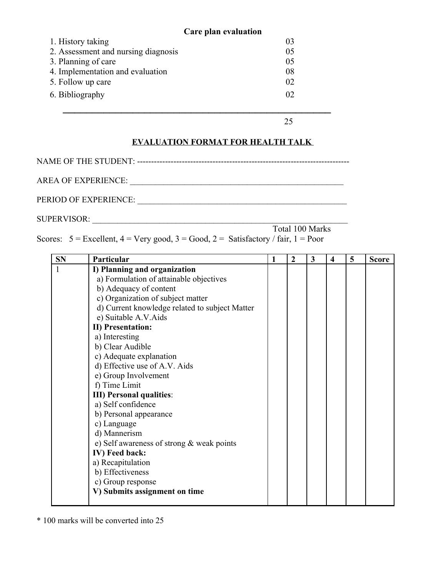|                                     | Care plan evaluation |  |
|-------------------------------------|----------------------|--|
| 1. History taking                   | 03                   |  |
| 2. Assessment and nursing diagnosis | 05                   |  |
| 3. Planning of care                 | 05                   |  |
| 4. Implementation and evaluation    | 08                   |  |
| 5. Follow up care                   | 02                   |  |
| 6. Bibliography                     | 02                   |  |
|                                     |                      |  |

25

## **EVALUATION FORMAT FOR HEALTH TALK**

NAME OF THE STUDENT: ----------------------------------------------------------------------------

AREA OF EXPERIENCE:

PERIOD OF EXPERIENCE: \_\_\_\_\_\_\_\_\_\_\_\_\_\_\_\_\_\_\_\_\_\_\_\_\_\_\_\_\_\_\_\_\_\_\_\_\_\_\_\_\_\_\_\_\_\_\_\_\_\_

SUPERVISOR: \_\_\_\_\_\_\_\_\_\_\_\_\_\_\_\_\_\_\_\_\_\_\_\_\_\_\_\_\_\_\_\_\_\_\_\_\_\_\_\_\_\_\_\_\_\_\_\_\_\_\_\_\_\_\_\_\_\_\_\_\_

| - OUT EN VIOUN. |                                                                                             |                 |  |  |  |  |
|-----------------|---------------------------------------------------------------------------------------------|-----------------|--|--|--|--|
|                 |                                                                                             | Total 100 Marks |  |  |  |  |
|                 | Scores: $5 =$ Excellent, $4 =$ Very good, $3 =$ Good, $2 =$ Satisfactory / fair, $1 =$ Poor |                 |  |  |  |  |

| <b>SN</b> | Particular                                     | 1 | $\overline{2}$ | $\overline{\mathbf{3}}$ | $\overline{\mathbf{4}}$ | 5 | <b>Score</b> |
|-----------|------------------------------------------------|---|----------------|-------------------------|-------------------------|---|--------------|
| 1         | I) Planning and organization                   |   |                |                         |                         |   |              |
|           | a) Formulation of attainable objectives        |   |                |                         |                         |   |              |
|           | b) Adequacy of content                         |   |                |                         |                         |   |              |
|           | c) Organization of subject matter              |   |                |                         |                         |   |              |
|           | d) Current knowledge related to subject Matter |   |                |                         |                         |   |              |
|           | e) Suitable A.V.Aids                           |   |                |                         |                         |   |              |
|           | <b>II)</b> Presentation:                       |   |                |                         |                         |   |              |
|           | a) Interesting                                 |   |                |                         |                         |   |              |
|           | b) Clear Audible                               |   |                |                         |                         |   |              |
|           | c) Adequate explanation                        |   |                |                         |                         |   |              |
|           | d) Effective use of A.V. Aids                  |   |                |                         |                         |   |              |
|           | e) Group Involvement                           |   |                |                         |                         |   |              |
|           | f) Time Limit                                  |   |                |                         |                         |   |              |
|           | <b>III)</b> Personal qualities:                |   |                |                         |                         |   |              |
|           | a) Self confidence                             |   |                |                         |                         |   |              |
|           | b) Personal appearance                         |   |                |                         |                         |   |              |
|           | c) Language                                    |   |                |                         |                         |   |              |
|           | d) Mannerism                                   |   |                |                         |                         |   |              |
|           | e) Self awareness of strong $&$ weak points    |   |                |                         |                         |   |              |
|           | IV) Feed back:                                 |   |                |                         |                         |   |              |
|           | a) Recapitulation                              |   |                |                         |                         |   |              |
|           | b) Effectiveness                               |   |                |                         |                         |   |              |
|           | c) Group response                              |   |                |                         |                         |   |              |
|           | V) Submits assignment on time                  |   |                |                         |                         |   |              |
|           |                                                |   |                |                         |                         |   |              |

\* 100 marks will be converted into 25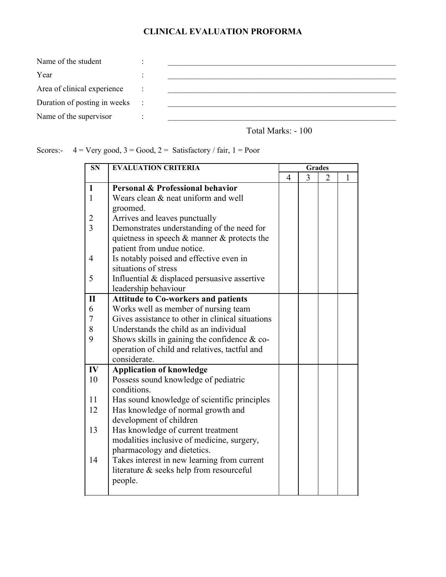## **CLINICAL EVALUATION PROFORMA**

| Name of the student          |  |
|------------------------------|--|
| Year                         |  |
| Area of clinical experience  |  |
| Duration of posting in weeks |  |
| Name of the supervisor       |  |

Total Marks: - 100

Scores:-  $4 = \text{Very good}, 3 = \text{Good}, 2 = \text{Satisfactory} / \text{fair}, 1 = \text{ Poor}$ 

| <b>SN</b>      | <b>EVALUATION CRITERIA</b>                        | <b>Grades</b> |   |   |   |
|----------------|---------------------------------------------------|---------------|---|---|---|
|                |                                                   | 4             | 3 | 2 | 1 |
| $\mathbf{1}$   | Personal & Professional behavior                  |               |   |   |   |
| $\mathbf{1}$   | Wears clean & neat uniform and well               |               |   |   |   |
|                | groomed.                                          |               |   |   |   |
| $\overline{2}$ | Arrives and leaves punctually                     |               |   |   |   |
| $\overline{3}$ | Demonstrates understanding of the need for        |               |   |   |   |
|                | quietness in speech $\&$ manner $\&$ protects the |               |   |   |   |
|                | patient from undue notice.                        |               |   |   |   |
| 4              | Is notably poised and effective even in           |               |   |   |   |
|                | situations of stress                              |               |   |   |   |
| 5              | Influential & displaced persuasive assertive      |               |   |   |   |
|                | leadership behaviour                              |               |   |   |   |
| $\mathbf{I}$   | <b>Attitude to Co-workers and patients</b>        |               |   |   |   |
| 6              | Works well as member of nursing team              |               |   |   |   |
| 7              | Gives assistance to other in clinical situations  |               |   |   |   |
| 8              | Understands the child as an individual            |               |   |   |   |
| 9              | Shows skills in gaining the confidence $\&$ co-   |               |   |   |   |
|                | operation of child and relatives, tactful and     |               |   |   |   |
|                | considerate.                                      |               |   |   |   |
| IV             | <b>Application of knowledge</b>                   |               |   |   |   |
| 10             | Possess sound knowledge of pediatric              |               |   |   |   |
|                | conditions.                                       |               |   |   |   |
| 11             | Has sound knowledge of scientific principles      |               |   |   |   |
| 12             | Has knowledge of normal growth and                |               |   |   |   |
|                | development of children                           |               |   |   |   |
| 13             | Has knowledge of current treatment                |               |   |   |   |
|                | modalities inclusive of medicine, surgery,        |               |   |   |   |
|                | pharmacology and dietetics.                       |               |   |   |   |
| 14             | Takes interest in new learning from current       |               |   |   |   |
|                | literature & seeks help from resourceful          |               |   |   |   |
|                | people.                                           |               |   |   |   |
|                |                                                   |               |   |   |   |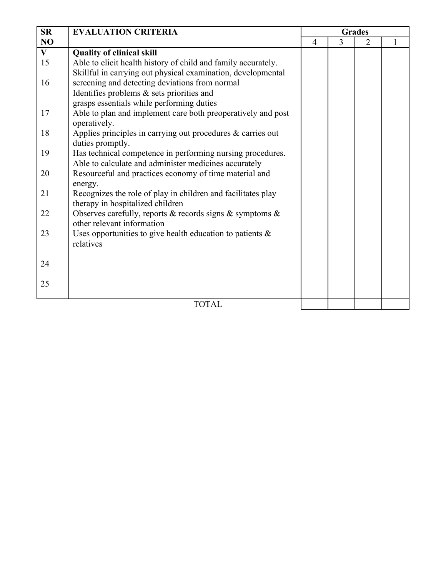| <b>SR</b>      | <b>EVALUATION CRITERIA</b>                                                                      | <b>Grades</b>  |   |   |  |
|----------------|-------------------------------------------------------------------------------------------------|----------------|---|---|--|
| N <sub>O</sub> |                                                                                                 | $\overline{4}$ | 3 | 2 |  |
| $\mathbf{V}$   | <b>Quality of clinical skill</b>                                                                |                |   |   |  |
| 15             | Able to elicit health history of child and family accurately.                                   |                |   |   |  |
|                | Skillful in carrying out physical examination, developmental                                    |                |   |   |  |
| 16             | screening and detecting deviations from normal                                                  |                |   |   |  |
|                | Identifies problems & sets priorities and                                                       |                |   |   |  |
|                | grasps essentials while performing duties                                                       |                |   |   |  |
| 17             | Able to plan and implement care both preoperatively and post                                    |                |   |   |  |
|                | operatively.                                                                                    |                |   |   |  |
| 18             | Applies principles in carrying out procedures $\&$ carries out                                  |                |   |   |  |
|                | duties promptly.                                                                                |                |   |   |  |
| 19             | Has technical competence in performing nursing procedures.                                      |                |   |   |  |
|                | Able to calculate and administer medicines accurately                                           |                |   |   |  |
| 20             | Resourceful and practices economy of time material and                                          |                |   |   |  |
|                | energy.                                                                                         |                |   |   |  |
| 21             | Recognizes the role of play in children and facilitates play                                    |                |   |   |  |
| 22             | therapy in hospitalized children                                                                |                |   |   |  |
|                | Observes carefully, reports $\&$ records signs $\&$ symptoms $\&$<br>other relevant information |                |   |   |  |
| 23             | Uses opportunities to give health education to patients $\&$                                    |                |   |   |  |
|                | relatives                                                                                       |                |   |   |  |
|                |                                                                                                 |                |   |   |  |
| 24             |                                                                                                 |                |   |   |  |
|                |                                                                                                 |                |   |   |  |
| 25             |                                                                                                 |                |   |   |  |
|                |                                                                                                 |                |   |   |  |
|                | <b>TOTAL</b>                                                                                    |                |   |   |  |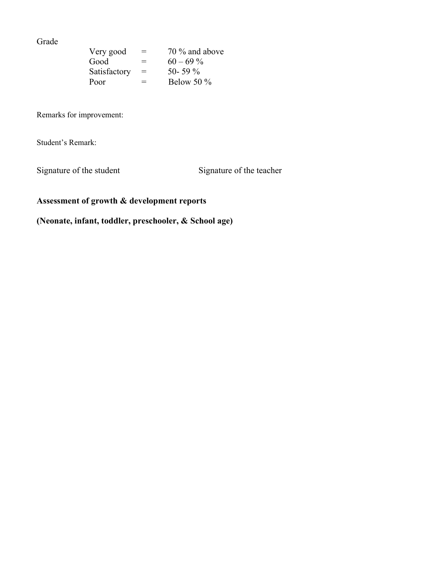#### Grade

| Very good    | $=$ | 70 % and above |
|--------------|-----|----------------|
| Good         | $=$ | $60 - 69\%$    |
| Satisfactory | $=$ | 50-59 $\%$     |
| Poor         | $=$ | Below 50 $\%$  |

Remarks for improvement:

Student's Remark:

Signature of the student Signature of the teacher

## **Assessment of growth & development reports**

**(Neonate, infant, toddler, preschooler, & School age)**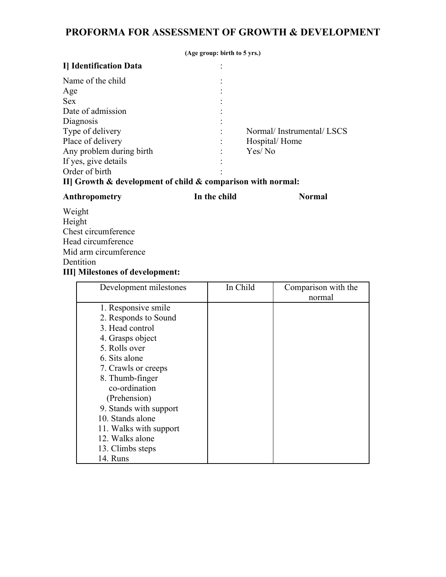## **PROFORMA FOR ASSESSMENT OF GROWTH & DEVELOPMENT**

|                                                                   | (Age group: birth to 5 yrs.) |                          |  |  |  |  |
|-------------------------------------------------------------------|------------------------------|--------------------------|--|--|--|--|
| I Identification Data                                             |                              |                          |  |  |  |  |
| Name of the child                                                 |                              |                          |  |  |  |  |
| Age                                                               |                              |                          |  |  |  |  |
| <b>Sex</b>                                                        |                              |                          |  |  |  |  |
| Date of admission                                                 |                              |                          |  |  |  |  |
| Diagnosis                                                         |                              |                          |  |  |  |  |
| Type of delivery                                                  |                              | Normal/Instrumental/LSCS |  |  |  |  |
| Place of delivery                                                 |                              | Hospital/Home            |  |  |  |  |
| Any problem during birth                                          |                              | Yes/No                   |  |  |  |  |
| If yes, give details                                              |                              |                          |  |  |  |  |
| Order of birth                                                    |                              |                          |  |  |  |  |
| II] Growth $\&$ development of child $\&$ comparison with normal: |                              |                          |  |  |  |  |

| Anthropometry                           | In the child | <b>Normal</b>       |  |
|-----------------------------------------|--------------|---------------------|--|
| Weight                                  |              |                     |  |
| Height                                  |              |                     |  |
| Chest circumference                     |              |                     |  |
| Head circumference                      |              |                     |  |
| Mid arm circumference                   |              |                     |  |
| Dentition                               |              |                     |  |
| <b>III</b> ] Milestones of development: |              |                     |  |
| Development milestones                  | In Child     | Comparison with the |  |
|                                         |              | normal              |  |
| 1. Responsive smile                     |              |                     |  |
| 2. Responds to Sound                    |              |                     |  |
| 3. Head control                         |              |                     |  |
| 4. Grasps object                        |              |                     |  |
|                                         |              |                     |  |

| 2. Responds to Sound   |  |
|------------------------|--|
| 3. Head control        |  |
| 4. Grasps object       |  |
| 5. Rolls over          |  |
| 6. Sits alone          |  |
| 7. Crawls or creeps    |  |
| 8. Thumb-finger        |  |
| co-ordination          |  |
| (Prehension)           |  |
| 9. Stands with support |  |
| 10. Stands alone       |  |
| 11. Walks with support |  |
| 12. Walks alone        |  |
| 13. Climbs steps       |  |
| 14. Runs               |  |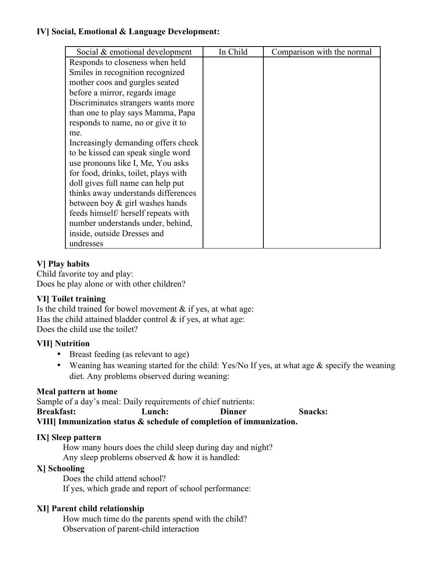## **IV] Social, Emotional & Language Development:**

| Social & emotional development       | In Child | Comparison with the normal |
|--------------------------------------|----------|----------------------------|
| Responds to closeness when held      |          |                            |
| Smiles in recognition recognized     |          |                            |
| mother coos and gurgles seated       |          |                            |
| before a mirror, regards image       |          |                            |
| Discriminates strangers wants more   |          |                            |
| than one to play says Mamma, Papa    |          |                            |
| responds to name, no or give it to   |          |                            |
| me.                                  |          |                            |
| Increasingly demanding offers cheek  |          |                            |
| to be kissed can speak single word   |          |                            |
| use pronouns like I, Me, You asks    |          |                            |
| for food, drinks, toilet, plays with |          |                            |
| doll gives full name can help put    |          |                            |
| thinks away understands differences  |          |                            |
| between boy $\&$ girl washes hands   |          |                            |
| feeds himself/ herself repeats with  |          |                            |
| number understands under, behind,    |          |                            |
| inside, outside Dresses and          |          |                            |
| undresses                            |          |                            |

## **V] Play habits**

Child favorite toy and play: Does he play alone or with other children?

## **VI] Toilet training**

Is the child trained for bowel movement  $\&$  if yes, at what age: Has the child attained bladder control  $\&$  if yes, at what age: Does the child use the toilet?

## **VII] Nutrition**

- Breast feeding (as relevant to age)
- Weaning has weaning started for the child: Yes/No If yes, at what age  $\&$  specify the weaning diet. Any problems observed during weaning:

## **Meal pattern at home**

Sample of a day's meal: Daily requirements of chief nutrients: **Breakfast: Lunch: Dinner Snacks: VIII] Immunization status & schedule of completion of immunization.**

## **IX] Sleep pattern**

How many hours does the child sleep during day and night? Any sleep problems observed  $&$  how it is handled:

## **X] Schooling**

Does the child attend school? If yes, which grade and report of school performance:

## **XI] Parent child relationship**

How much time do the parents spend with the child? Observation of parent-child interaction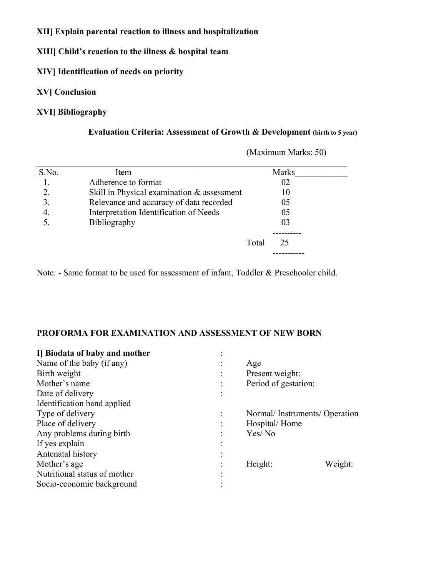#### **XII] Explain parental reaction to illness and hospitalization**

**XIII] Child's reaction to the illness & hospital team**

## **XIV] Identification of needs on priority**

#### **XV] Conclusion**

## **XVI] Bibliography**

## **Evaluation Criteria: Assessment of Growth & Development (birth to 5 year)**

| S.No. | Item                                       |       | <b>Marks</b> |  |
|-------|--------------------------------------------|-------|--------------|--|
|       | Adherence to format                        |       | 02           |  |
|       | Skill in Physical examination & assessment |       | 10           |  |
|       | Relevance and accuracy of data recorded    |       | 05           |  |
| 4.    | Interpretation Identification of Needs     |       | 05           |  |
|       | <b>Bibliography</b>                        |       | 03           |  |
|       |                                            |       |              |  |
|       |                                            | Total | 25           |  |
|       |                                            |       |              |  |

(Maximum Marks: 50)

Note: - Same format to be used for assessment of infant, Toddler & Preschooler child.

#### **PROFORMA FOR EXAMINATION AND ASSESSMENT OF NEW BORN**

| Age                  |                              |
|----------------------|------------------------------|
| Present weight:      |                              |
| Period of gestation: |                              |
|                      |                              |
|                      |                              |
|                      |                              |
| Hospital/Home        |                              |
| Yes/No               |                              |
|                      |                              |
|                      |                              |
| Height:              | Weight:                      |
|                      |                              |
|                      |                              |
|                      | Normal/Instruments/Operation |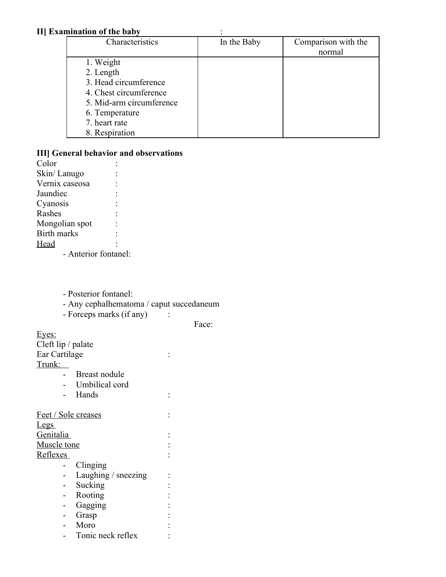#### **II] Examination of the baby** :

| Characteristics          | In the Baby | Comparison with the |
|--------------------------|-------------|---------------------|
|                          |             | normal              |
| 1. Weight                |             |                     |
| 2. Length                |             |                     |
| 3. Head circumference    |             |                     |
| 4. Chest circumference   |             |                     |
| 5. Mid-arm circumference |             |                     |
| 6. Temperature           |             |                     |
| 7. heart rate            |             |                     |
| 8. Respiration           |             |                     |

#### **III] General behavior and observations**

Color : Skin/Lanugo : Vernix caseosa : Jaundiec : Cyanosis : **Rashes** Mongolian spot : Birth marks : Head : - Anterior fontanel:

- Posterior fontanel:
- Any cephalhematoma / caput succedaneum
- Forceps marks (if any) :

Face:

Eyes: Cleft lip / palate Ear Cartilage : Trunk: - Breast nodule - Umbilical cord - Hands : Feet / Sole creases : Legs Genitalia : Muscle tone  $\cdot$  : Reflexes : - Clinging - Laughing / sneezing : - Sucking : - Rooting : - Gagging : - Grasp : - Moro : - Tonic neck reflex :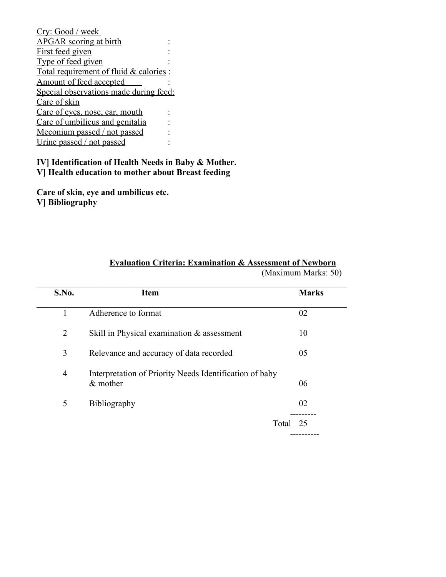| Cry: Good / week                        |  |
|-----------------------------------------|--|
| <b>APGAR</b> scoring at birth           |  |
| First feed given                        |  |
| Type of feed given                      |  |
| Total requirement of fluid & calories : |  |
| Amount of feed accepted                 |  |
| Special observations made during feed:  |  |
| Care of skin                            |  |
| Care of eyes, nose, ear, mouth          |  |
| Care of umbilicus and genitalia         |  |
| Meconium passed / not passed            |  |
| Urine passed / not passed               |  |

#### **IV] Identification of Health Needs in Baby & Mother. V] Health education to mother about Breast feeding**

**Care of skin, eye and umbilicus etc. V] Bibliography**

| S.No.          | <b>Item</b>                                                           | <b>Marks</b> |
|----------------|-----------------------------------------------------------------------|--------------|
| 1              | Adherence to format                                                   | 02           |
| 2              | Skill in Physical examination & assessment                            | 10           |
| 3              | Relevance and accuracy of data recorded                               | 05           |
| $\overline{4}$ | Interpretation of Priority Needs Identification of baby<br>$&$ mother | 06           |
| 5              | <b>Bibliography</b>                                                   | 02           |
|                | Total 25                                                              |              |

## **Evaluation Criteria: Examination & Assessment of Newborn**

(Maximum Marks: 50)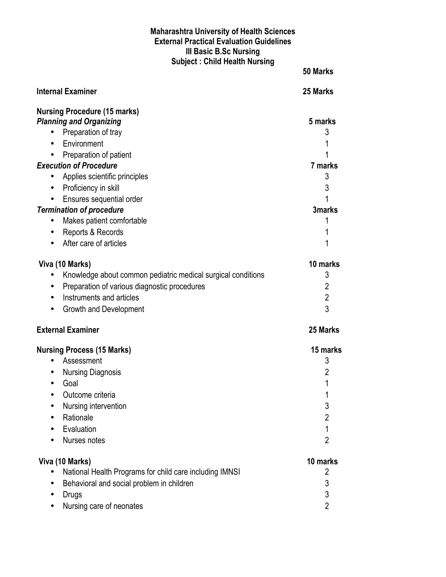#### **Maharashtra University of Health Sciences External Practical Evaluation Guidelines III Basic B.Sc Nursing Subject : Child Health Nursing**

|                                                              | 50 Marks       |
|--------------------------------------------------------------|----------------|
| Internal Examiner                                            | 25 Marks       |
| <b>Nursing Procedure (15 marks)</b>                          |                |
| <b>Planning and Organizing</b>                               | 5 marks        |
| Preparation of tray<br>$\bullet$                             | 3              |
| Environment<br>$\bullet$                                     |                |
| Preparation of patient<br>$\bullet$                          |                |
| <b>Execution of Procedure</b>                                | 7 marks        |
| Applies scientific principles<br>$\bullet$                   | 3              |
| Proficiency in skill<br>$\bullet$                            | 3              |
| Ensures sequential order<br>$\bullet$                        |                |
| <b>Termination of procedure</b>                              | 3marks         |
| Makes patient comfortable                                    | 1              |
| Reports & Records<br>$\bullet$                               | 1              |
| After care of articles                                       | 1              |
| Viva (10 Marks)                                              | 10 marks       |
| Knowledge about common pediatric medical surgical conditions | 3              |
| Preparation of various diagnostic procedures<br>$\bullet$    | $\overline{2}$ |
| Instruments and articles<br>$\bullet$                        | $\overline{2}$ |
| Growth and Development<br>$\bullet$                          | 3              |
| <b>External Examiner</b>                                     | 25 Marks       |
| <b>Nursing Process (15 Marks)</b>                            | 15 marks       |
| Assessment                                                   | 3              |
| <b>Nursing Diagnosis</b><br>$\bullet$                        | 2              |
| Goal                                                         | 1              |
| Outcome criteria                                             | 1              |
| Nursing intervention                                         | 3              |
| Rationale                                                    | $\overline{2}$ |
| Evaluation                                                   | 1              |
| Nurses notes                                                 | $\overline{2}$ |
| Viva (10 Marks)                                              | 10 marks       |
| National Health Programs for child care including IMNSI      | 2              |
| Behavioral and social problem in children                    | 3              |
| <b>Drugs</b>                                                 | 3              |
| Nursing care of neonates                                     | $\overline{2}$ |